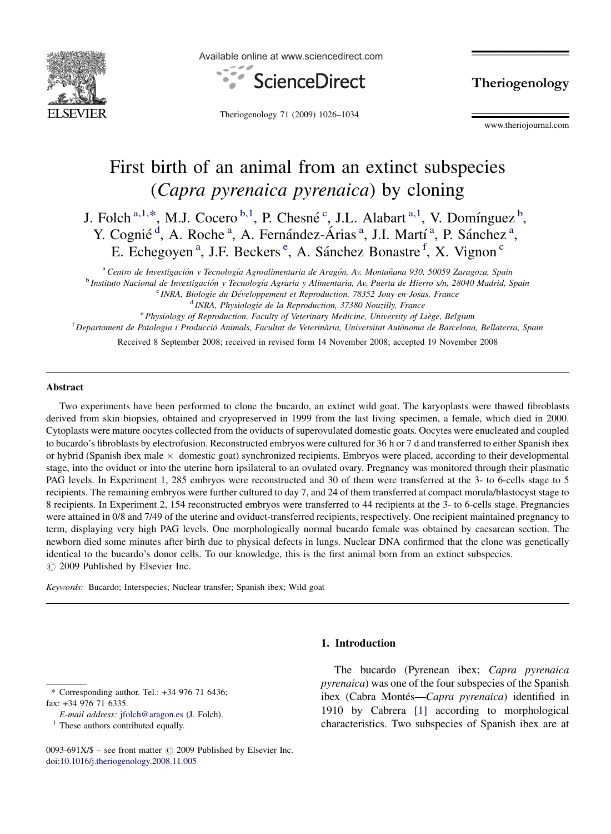

Available online at www.sciencedirect.com



Theriogenology 71 (2009) 1026–1034

Theriogenology

www.theriojournal.com

# First birth of an animal from an extinct subspecies (Capra pyrenaica pyrenaica) by cloning

J. Folch<sup>a,1,\*</sup>, M.J. Cocero<sup>b,1</sup>, P. Chesné<sup>c</sup>, J.L. Alabart<sup>a,1</sup>, V. Domínguez<sup>b</sup>, Y. Cognié<sup>d</sup>, A. Roche<sup>a</sup>, A. Fernández-Árias<sup>a</sup>, J.I. Martí<sup>a</sup>, P. Sánchez<sup>a</sup>, E. Echegoyen<sup>a</sup>, J.F. Beckers<sup>e</sup>, A. Sánchez Bonastre<sup>f</sup>, X. Vignon<sup>c</sup>

<sup>a</sup> Centro de Investigación y Tecnología Agroalimentaria de Aragón, Av. Montañana 930, 50059 Zaragoza, Spain <sup>b</sup> Instituto Nacional de Investigación y Tecnología Agraria y Alimentaria, Av. Puerta de Hierro s/n, 28040 Madrid, Spain  $c$  INRA, Biologie du Développement et Reproduction, 78352 Jouy-en-Josas, France <sup>d</sup> INRA, Physiologie de la Reproduction, 37380 Nouzilly, France

 $e^{\epsilon}$ Physiology of Reproduction, Faculty of Veterinary Medicine, University of Liège, Belgium <sup>f</sup> Departament de Patologia i Producció Animals, Facultat de Veterinària, Universitat Autònoma de Barcelona, Bellaterra, Spain

Received 8 September 2008; received in revised form 14 November 2008; accepted 19 November 2008

#### Abstract

Two experiments have been performed to clone the bucardo, an extinct wild goat. The karyoplasts were thawed fibroblasts derived from skin biopsies, obtained and cryopreserved in 1999 from the last living specimen, a female, which died in 2000. Cytoplasts were mature oocytes collected from the oviducts of superovulated domestic goats. Oocytes were enucleated and coupled to bucardo's fibroblasts by electrofusion. Reconstructed embryos were cultured for 36 h or 7 d and transferred to either Spanish ibex or hybrid (Spanish ibex male  $\times$  domestic goat) synchronized recipients. Embryos were placed, according to their developmental stage, into the oviduct or into the uterine horn ipsilateral to an ovulated ovary. Pregnancy was monitored through their plasmatic PAG levels. In Experiment 1, 285 embryos were reconstructed and 30 of them were transferred at the 3- to 6-cells stage to 5 recipients. The remaining embryos were further cultured to day 7, and 24 of them transferred at compact morula/blastocyst stage to 8 recipients. In Experiment 2, 154 reconstructed embryos were transferred to 44 recipients at the 3- to 6-cells stage. Pregnancies were attained in 0/8 and 7/49 of the uterine and oviduct-transferred recipients, respectively. One recipient maintained pregnancy to term, displaying very high PAG levels. One morphologically normal bucardo female was obtained by caesarean section. The newborn died some minutes after birth due to physical defects in lungs. Nuclear DNA confirmed that the clone was genetically identical to the bucardo's donor cells. To our knowledge, this is the first animal born from an extinct subspecies.  $\circ$  2009 Published by Elsevier Inc.

Keywords: Bucardo; Interspecies; Nuclear transfer; Spanish ibex; Wild goat

#### 1. Introduction

\* Corresponding author. Tel.: +34 976 71 6436; fax: +34 976 71 6335.

E-mail address: [jfolch@aragon.es](mailto:jfolch@aragon.es) (J. Folch).

 $<sup>1</sup>$  These authors contributed equally.</sup>

The bucardo (Pyrenean ibex; Capra pyrenaica pyrenaica) was one of the four subspecies of the Spanish ibex (Cabra Montés—Capra pyrenaica) identified in 1910 by Cabrera [\[1\]](#page-7-0) according to morphological characteristics. Two subspecies of Spanish ibex are at

<sup>0093-691</sup>X/\$ – see front matter  $\circled{c}$  2009 Published by Elsevier Inc. doi:[10.1016/j.theriogenology.2008.11.005](http://dx.doi.org/10.1016/j.theriogenology.2008.11.005)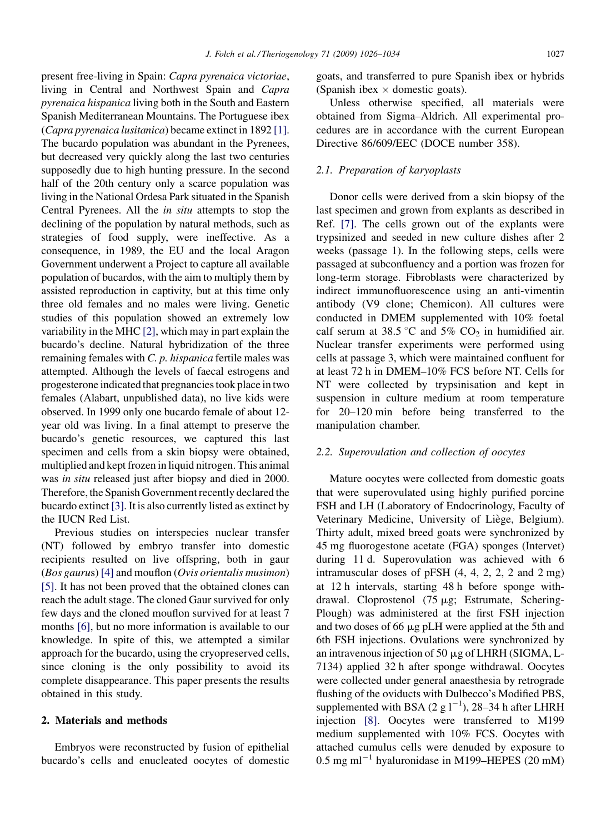present free-living in Spain: Capra pyrenaica victoriae, living in Central and Northwest Spain and Capra pyrenaica hispanica living both in the South and Eastern Spanish Mediterranean Mountains. The Portuguese ibex (Capra pyrenaica lusitanica) became extinct in 1892 [\[1\].](#page-7-0) The bucardo population was abundant in the Pyrenees, but decreased very quickly along the last two centuries supposedly due to high hunting pressure. In the second half of the 20th century only a scarce population was living in the National Ordesa Park situated in the Spanish Central Pyrenees. All the in situ attempts to stop the declining of the population by natural methods, such as strategies of food supply, were ineffective. As a consequence, in 1989, the EU and the local Aragon Government underwent a Project to capture all available population of bucardos, with the aim to multiply them by assisted reproduction in captivity, but at this time only three old females and no males were living. Genetic studies of this population showed an extremely low variability in the MHC [\[2\],](#page-7-0) which may in part explain the bucardo's decline. Natural hybridization of the three remaining females with C. p. hispanica fertile males was attempted. Although the levels of faecal estrogens and progesterone indicated that pregnancies took place in two females (Alabart, unpublished data), no live kids were observed. In 1999 only one bucardo female of about 12 year old was living. In a final attempt to preserve the bucardo's genetic resources, we captured this last specimen and cells from a skin biopsy were obtained, multiplied and kept frozen in liquid nitrogen. This animal was in situ released just after biopsy and died in 2000. Therefore, the Spanish Government recently declared the bucardo extinct [\[3\]](#page-7-0). It is also currently listed as extinct by the IUCN Red List.

Previous studies on interspecies nuclear transfer (NT) followed by embryo transfer into domestic recipients resulted on live offspring, both in gaur (Bos gaurus) [\[4\]](#page-7-0) and mouflon (Ovis orientalis musimon) [\[5\]](#page-7-0). It has not been proved that the obtained clones can reach the adult stage. The cloned Gaur survived for only few days and the cloned mouflon survived for at least 7 months [\[6\],](#page-7-0) but no more information is available to our knowledge. In spite of this, we attempted a similar approach for the bucardo, using the cryopreserved cells, since cloning is the only possibility to avoid its complete disappearance. This paper presents the results obtained in this study.

## 2. Materials and methods

Embryos were reconstructed by fusion of epithelial bucardo's cells and enucleated oocytes of domestic goats, and transferred to pure Spanish ibex or hybrids (Spanish ibex  $\times$  domestic goats).

Unless otherwise specified, all materials were obtained from Sigma–Aldrich. All experimental procedures are in accordance with the current European Directive 86/609/EEC (DOCE number 358).

## 2.1. Preparation of karyoplasts

Donor cells were derived from a skin biopsy of the last specimen and grown from explants as described in Ref. [\[7\]](#page-7-0). The cells grown out of the explants were trypsinized and seeded in new culture dishes after 2 weeks (passage 1). In the following steps, cells were passaged at subconfluency and a portion was frozen for long-term storage. Fibroblasts were characterized by indirect immunofluorescence using an anti-vimentin antibody (V9 clone; Chemicon). All cultures were conducted in DMEM supplemented with 10% foetal calf serum at 38.5 °C and 5%  $CO<sub>2</sub>$  in humidified air. Nuclear transfer experiments were performed using cells at passage 3, which were maintained confluent for at least 72 h in DMEM–10% FCS before NT. Cells for NT were collected by trypsinisation and kept in suspension in culture medium at room temperature for 20–120 min before being transferred to the manipulation chamber.

#### 2.2. Superovulation and collection of oocytes

Mature oocytes were collected from domestic goats that were superovulated using highly purified porcine FSH and LH (Laboratory of Endocrinology, Faculty of Veterinary Medicine, University of Liège, Belgium). Thirty adult, mixed breed goats were synchronized by 45 mg fluorogestone acetate (FGA) sponges (Intervet) during 11 d. Superovulation was achieved with 6 intramuscular doses of pFSH (4, 4, 2, 2, 2 and 2 mg) at 12 h intervals, starting 48 h before sponge withdrawal. Cloprostenol  $(75 \mu g)$ ; Estrumate, Schering-Plough) was administered at the first FSH injection and two doses of 66  $\mu$ g pLH were applied at the 5th and 6th FSH injections. Ovulations were synchronized by an intravenous injection of 50  $\mu$ g of LHRH (SIGMA, L-7134) applied 32 h after sponge withdrawal. Oocytes were collected under general anaesthesia by retrograde flushing of the oviducts with Dulbecco's Modified PBS, supplemented with BSA (2 g  $1^{-1}$ ), 28–34 h after LHRH injection [\[8\]](#page-7-0). Oocytes were transferred to M199 medium supplemented with 10% FCS. Oocytes with attached cumulus cells were denuded by exposure to  $0.5$  mg ml<sup>-1</sup> hyaluronidase in M199-HEPES (20 mM)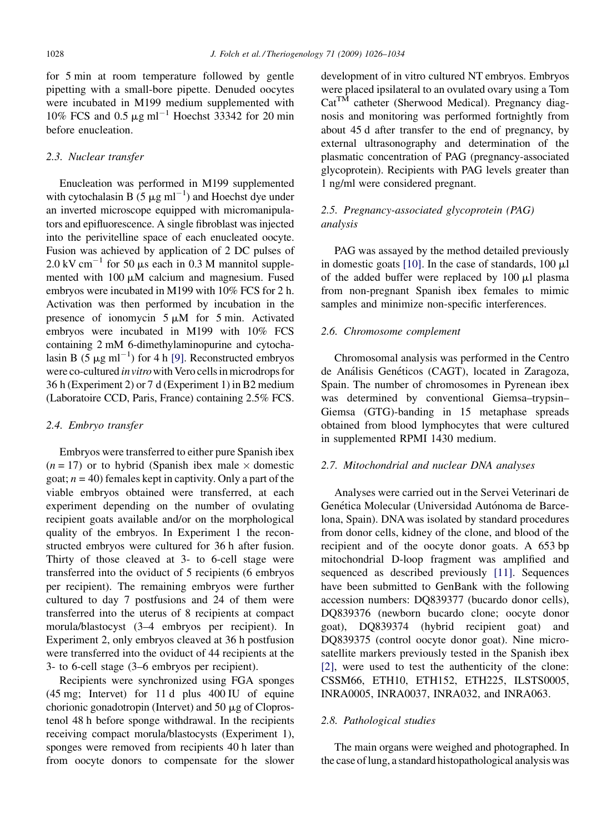for 5 min at room temperature followed by gentle pipetting with a small-bore pipette. Denuded oocytes were incubated in M199 medium supplemented with 10% FCS and 0.5  $\mu$ g ml<sup>-1</sup> Hoechst 33342 for 20 min before enucleation.

### 2.3. Nuclear transfer

Enucleation was performed in M199 supplemented with cytochalasin B  $(5 \mu g \text{ ml}^{-1})$  and Hoechst dye under an inverted microscope equipped with micromanipulators and epifluorescence. A single fibroblast was injected into the perivitelline space of each enucleated oocyte. Fusion was achieved by application of 2 DC pulses of 2.0 kV cm<sup>-1</sup> for 50  $\mu$ s each in 0.3 M mannitol supplemented with  $100 \mu M$  calcium and magnesium. Fused embryos were incubated in M199 with 10% FCS for 2 h. Activation was then performed by incubation in the presence of ionomycin  $5 \mu M$  for  $5 \text{ min.}$  Activated embryos were incubated in M199 with 10% FCS containing 2 mM 6-dimethylaminopurine and cytochalasin B (5  $\mu$ g ml<sup>-1</sup>) for 4 h [\[9\].](#page-7-0) Reconstructed embryos were co-cultured *in vitro* with Vero cells in microdrops for 36 h (Experiment 2) or 7 d (Experiment 1) in B2 medium (Laboratoire CCD, Paris, France) containing 2.5% FCS.

#### 2.4. Embryo transfer

Embryos were transferred to either pure Spanish ibex  $(n = 17)$  or to hybrid (Spanish ibex male  $\times$  domestic goat;  $n = 40$ ) females kept in captivity. Only a part of the viable embryos obtained were transferred, at each experiment depending on the number of ovulating recipient goats available and/or on the morphological quality of the embryos. In Experiment 1 the reconstructed embryos were cultured for 36 h after fusion. Thirty of those cleaved at 3- to 6-cell stage were transferred into the oviduct of 5 recipients (6 embryos per recipient). The remaining embryos were further cultured to day 7 postfusions and 24 of them were transferred into the uterus of 8 recipients at compact morula/blastocyst (3–4 embryos per recipient). In Experiment 2, only embryos cleaved at 36 h postfusion were transferred into the oviduct of 44 recipients at the 3- to 6-cell stage (3–6 embryos per recipient).

Recipients were synchronized using FGA sponges (45 mg; Intervet) for 11 d plus 400 IU of equine chorionic gonadotropin (Intervet) and 50  $\mu$ g of Cloprostenol 48 h before sponge withdrawal. In the recipients receiving compact morula/blastocysts (Experiment 1), sponges were removed from recipients 40 h later than from oocyte donors to compensate for the slower

development of in vitro cultured NT embryos. Embryos were placed ipsilateral to an ovulated ovary using a Tom  $Cat<sup>TM</sup>$  catheter (Sherwood Medical). Pregnancy diagnosis and monitoring was performed fortnightly from about 45 d after transfer to the end of pregnancy, by external ultrasonography and determination of the plasmatic concentration of PAG (pregnancy-associated glycoprotein). Recipients with PAG levels greater than 1 ng/ml were considered pregnant.

## 2.5. Pregnancy-associated glycoprotein (PAG) analysis

PAG was assayed by the method detailed previously in domestic goats  $[10]$ . In the case of standards,  $100 \mu l$ of the added buffer were replaced by  $100 \mu l$  plasma from non-pregnant Spanish ibex females to mimic samples and minimize non-specific interferences.

#### 2.6. Chromosome complement

Chromosomal analysis was performed in the Centro de Análisis Genéticos (CAGT), located in Zaragoza, Spain. The number of chromosomes in Pyrenean ibex was determined by conventional Giemsa–trypsin– Giemsa (GTG)-banding in 15 metaphase spreads obtained from blood lymphocytes that were cultured in supplemented RPMI 1430 medium.

## 2.7. Mitochondrial and nuclear DNA analyses

Analyses were carried out in the Servei Veterinari de Genética Molecular (Universidad Autónoma de Barcelona, Spain). DNA was isolated by standard procedures from donor cells, kidney of the clone, and blood of the recipient and of the oocyte donor goats. A 653 bp mitochondrial D-loop fragment was amplified and sequenced as described previously [\[11\].](#page-7-0) Sequences have been submitted to GenBank with the following accession numbers: DQ839377 (bucardo donor cells), DQ839376 (newborn bucardo clone; oocyte donor goat), DQ839374 (hybrid recipient goat) and DQ839375 (control oocyte donor goat). Nine microsatellite markers previously tested in the Spanish ibex [\[2\],](#page-7-0) were used to test the authenticity of the clone: CSSM66, ETH10, ETH152, ETH225, ILSTS0005, INRA0005, INRA0037, INRA032, and INRA063.

## 2.8. Pathological studies

The main organs were weighed and photographed. In the case of lung, a standard histopathological analysis was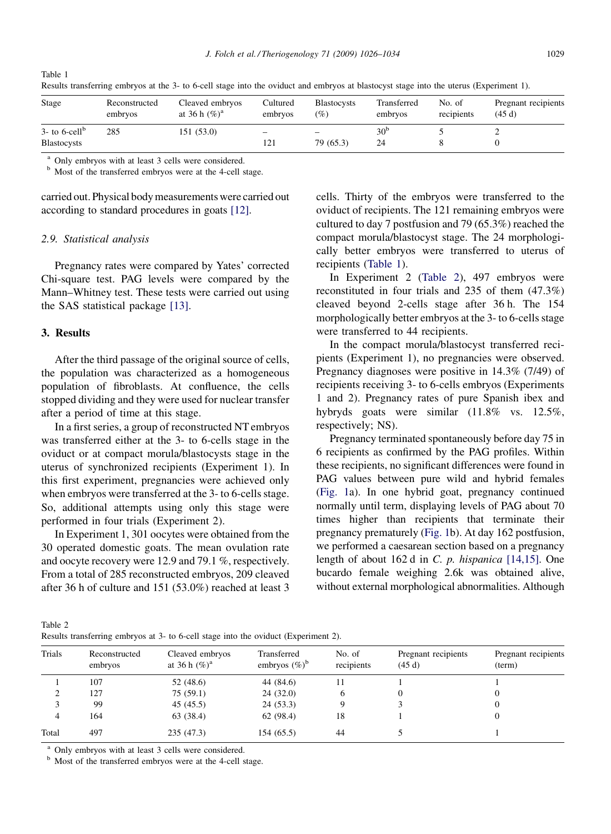| Stage                       | Reconstructed<br>embryos | Cleaved embryos<br>at 36 h $(\%)^a$ | Cultured<br>embryos | <b>Blastocysts</b><br>(%) | Transferred<br>embryos | No. of<br>recipients | Pregnant recipients<br>(45d) |
|-----------------------------|--------------------------|-------------------------------------|---------------------|---------------------------|------------------------|----------------------|------------------------------|
| $3-$ to 6-cell <sup>b</sup> | 285                      | 151 (53.0)                          |                     | —                         | 30 <sup>b</sup>        |                      |                              |
| <b>Blastocysts</b>          |                          |                                     | 121                 | 79 (65.3)                 | 24                     |                      |                              |

Results transferring embryos at the 3- to 6-cell stage into the oviduct and embryos at blastocyst stage into the uterus (Experiment 1).

<sup>a</sup> Only embryos with at least 3 cells were considered. <sup>b</sup> Most of the transferred embryos were at the 4-cell stage.

carried out. Physical body measurements were carried out according to standard procedures in goats [\[12\].](#page-7-0)

#### 2.9. Statistical analysis

Pregnancy rates were compared by Yates' corrected Chi-square test. PAG levels were compared by the Mann–Whitney test. These tests were carried out using the SAS statistical package [\[13\]](#page-7-0).

#### 3. Results

Table 1

After the third passage of the original source of cells, the population was characterized as a homogeneous population of fibroblasts. At confluence, the cells stopped dividing and they were used for nuclear transfer after a period of time at this stage.

In a first series, a group of reconstructed NT embryos was transferred either at the 3- to 6-cells stage in the oviduct or at compact morula/blastocysts stage in the uterus of synchronized recipients (Experiment 1). In this first experiment, pregnancies were achieved only when embryos were transferred at the 3- to 6-cells stage. So, additional attempts using only this stage were performed in four trials (Experiment 2).

In Experiment 1, 301 oocytes were obtained from the 30 operated domestic goats. The mean ovulation rate and oocyte recovery were 12.9 and 79.1 %, respectively. From a total of 285 reconstructed embryos, 209 cleaved after 36 h of culture and 151 (53.0%) reached at least 3

cells. Thirty of the embryos were transferred to the oviduct of recipients. The 121 remaining embryos were cultured to day 7 postfusion and 79 (65.3%) reached the compact morula/blastocyst stage. The 24 morphologically better embryos were transferred to uterus of recipients (Table 1).

In Experiment 2 (Table 2), 497 embryos were reconstituted in four trials and 235 of them (47.3%) cleaved beyond 2-cells stage after 36 h. The 154 morphologically better embryos at the 3- to 6-cells stage were transferred to 44 recipients.

In the compact morula/blastocyst transferred recipients (Experiment 1), no pregnancies were observed. Pregnancy diagnoses were positive in 14.3% (7/49) of recipients receiving 3- to 6-cells embryos (Experiments 1 and 2). Pregnancy rates of pure Spanish ibex and hybryds goats were similar (11.8% vs. 12.5%, respectively; NS).

Pregnancy terminated spontaneously before day 75 in 6 recipients as confirmed by the PAG profiles. Within these recipients, no significant differences were found in PAG values between pure wild and hybrid females [\(Fig. 1](#page-4-0)a). In one hybrid goat, pregnancy continued normally until term, displaying levels of PAG about 70 times higher than recipients that terminate their pregnancy prematurely [\(Fig. 1](#page-4-0)b). At day 162 postfusion, we performed a caesarean section based on a pregnancy length of about 162 d in C. p. hispanica [\[14,15\]](#page-7-0). One bucardo female weighing 2.6k was obtained alive, without external morphological abnormalities. Although

Table 2 Results transferring embryos at 3- to 6-cell stage into the oviduct (Experiment 2).

| Trials | Reconstructed<br>embryos | Cleaved embryos<br>at 36 h $(\%)^a$ | Transferred<br>embryos $(\%)^b$ | No. of<br>recipients | Pregnant recipients<br>(45d) | Pregnant recipients<br>(term) |
|--------|--------------------------|-------------------------------------|---------------------------------|----------------------|------------------------------|-------------------------------|
|        | 107                      | 52 (48.6)                           | 44 (84.6)                       |                      |                              |                               |
| ∠      | 127                      | 75(59.1)                            | 24(32.0)                        |                      |                              |                               |
|        | 99                       | 45 (45.5)                           | 24(53.3)                        |                      |                              |                               |
| 4      | 164                      | 63 (38.4)                           | 62 (98.4)                       | 18                   |                              |                               |
| Total  | 497                      | 235(47.3)                           | 154(65.5)                       | 44                   |                              |                               |

<sup>a</sup> Only embryos with at least 3 cells were considered.  $\overline{b}$  Most of the transferred embryos were at the 4-cell stage.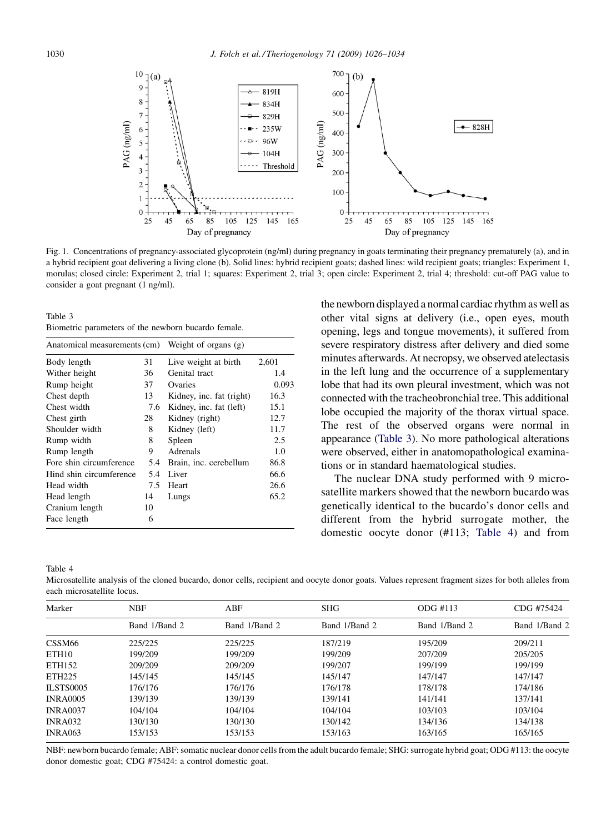<span id="page-4-0"></span>

Fig. 1. Concentrations of pregnancy-associated glycoprotein (ng/ml) during pregnancy in goats terminating their pregnancy prematurely (a), and in a hybrid recipient goat delivering a living clone (b). Solid lines: hybrid recipient goats; dashed lines: wild recipient goats; triangles: Experiment 1, morulas; closed circle: Experiment 2, trial 1; squares: Experiment 2, trial 3; open circle: Experiment 2, trial 4; threshold: cut-off PAG value to consider a goat pregnant (1 ng/ml).

Table 3 Biometric parameters of the newborn bucardo female.

| Anatomical measurements (cm) |     | Weight of organs (g)     |       |  |  |
|------------------------------|-----|--------------------------|-------|--|--|
| Body length                  | 31  | Live weight at birth     | 2,601 |  |  |
| Wither height                | 36  | Genital tract            | 1.4   |  |  |
| Rump height                  | 37  | Ovaries                  | 0.093 |  |  |
| Chest depth                  | 13  | Kidney, inc. fat (right) | 16.3  |  |  |
| Chest width                  | 7.6 | Kidney, inc. fat (left)  | 15.1  |  |  |
| Chest girth                  | 28  | Kidney (right)           | 12.7  |  |  |
| Shoulder width               | 8   | Kidney (left)            | 11.7  |  |  |
| Rump width                   | 8   | Spleen                   | 2.5   |  |  |
| Rump length                  | 9   | Adrenals                 | 1.0   |  |  |
| Fore shin circumference      | 5.4 | Brain, inc. cerebellum   | 86.8  |  |  |
| Hind shin circumference      | 5.4 | Liver                    | 66.6  |  |  |
| Head width                   | 7.5 | Heart                    | 26.6  |  |  |
| Head length                  | 14  | Lungs                    | 65.2  |  |  |
| Cranium length               | 10  |                          |       |  |  |
| Face length                  | 6   |                          |       |  |  |

the newborn displayed a normal cardiac rhythm as well as other vital signs at delivery (i.e., open eyes, mouth opening, legs and tongue movements), it suffered from severe respiratory distress after delivery and died some minutes afterwards. At necropsy, we observed atelectasis in the left lung and the occurrence of a supplementary lobe that had its own pleural investment, which was not connected with the tracheobronchial tree. This additional lobe occupied the majority of the thorax virtual space. The rest of the observed organs were normal in appearance (Table 3). No more pathological alterations were observed, either in anatomopathological examinations or in standard haematological studies.

The nuclear DNA study performed with 9 microsatellite markers showed that the newborn bucardo was genetically identical to the bucardo's donor cells and different from the hybrid surrogate mother, the domestic oocyte donor (#113; Table 4) and from

Table 4

Microsatellite analysis of the cloned bucardo, donor cells, recipient and oocyte donor goats. Values represent fragment sizes for both alleles from each microsatellite locus.

| Marker             | <b>NBF</b>    | ABF           | <b>SHG</b>    | $ODG$ #113    | CDG #75424    |
|--------------------|---------------|---------------|---------------|---------------|---------------|
|                    | Band 1/Band 2 | Band 1/Band 2 | Band 1/Band 2 | Band 1/Band 2 | Band 1/Band 2 |
| CSSM <sub>66</sub> | 225/225       | 225/225       | 187/219       | 195/209       | 209/211       |
| ETH <sub>10</sub>  | 199/209       | 199/209       | 199/209       | 207/209       | 205/205       |
| ETH152             | 209/209       | 209/209       | 199/207       | 199/199       | 199/199       |
| ETH225             | 145/145       | 145/145       | 145/147       | 147/147       | 147/147       |
| <b>ILSTS0005</b>   | 176/176       | 176/176       | 176/178       | 178/178       | 174/186       |
| <b>INRA0005</b>    | 139/139       | 139/139       | 139/141       | 141/141       | 137/141       |
| <b>INRA0037</b>    | 104/104       | 104/104       | 104/104       | 103/103       | 103/104       |
| <b>INRA032</b>     | 130/130       | 130/130       | 130/142       | 134/136       | 134/138       |
| <b>INRA063</b>     | 153/153       | 153/153       | 153/163       | 163/165       | 165/165       |

NBF: newborn bucardo female; ABF: somatic nuclear donor cells from the adult bucardo female; SHG: surrogate hybrid goat; ODG #113: the oocyte donor domestic goat; CDG #75424: a control domestic goat.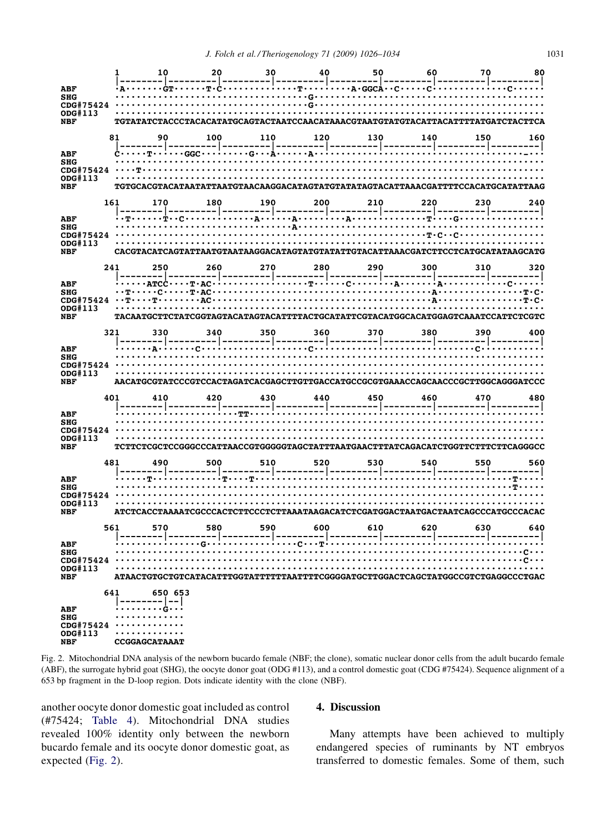| ODG#113                                                                                        |                  |     |     |     |     |     |                                                                                  |     |
|------------------------------------------------------------------------------------------------|------------------|-----|-----|-----|-----|-----|----------------------------------------------------------------------------------|-----|
| NBF                                                                                            |                  |     |     |     |     |     |                                                                                  |     |
|                                                                                                | 81               | 100 | 110 | 120 | 130 |     |                                                                                  | 160 |
| ABF                                                                                            |                  |     |     |     |     |     |                                                                                  |     |
| <b>SHG</b><br>CDG#75424                                                                        |                  |     |     |     |     |     |                                                                                  |     |
| ODG#113                                                                                        |                  |     |     |     |     |     |                                                                                  |     |
| <b>NBF</b>                                                                                     |                  |     |     |     |     |     |                                                                                  |     |
| 161                                                                                            |                  |     | 190 | 200 | 210 | 220 |                                                                                  | 240 |
| <b>ABF</b>                                                                                     |                  |     |     |     |     |     |                                                                                  |     |
| <b>SHG</b>                                                                                     |                  |     |     |     |     |     |                                                                                  |     |
| ODG#113                                                                                        |                  |     |     |     |     |     |                                                                                  |     |
| <b>NBF</b>                                                                                     |                  |     |     |     |     |     |                                                                                  |     |
|                                                                                                |                  |     |     |     |     |     |                                                                                  |     |
|                                                                                                |                  |     |     |     |     |     |                                                                                  |     |
|                                                                                                |                  |     |     |     |     |     |                                                                                  |     |
|                                                                                                |                  |     |     |     |     |     |                                                                                  |     |
| <b>NBF</b>                                                                                     |                  |     |     |     |     |     | TACAATGCTTCTATCGGTAGTACATAGTACATTTTACTGCATATTCGTACATGGCACATGGAGTCAAATCCATTCTCGTC |     |
| 321                                                                                            |                  |     |     |     |     |     |                                                                                  | 400 |
| <b>ABF</b>                                                                                     |                  |     |     |     |     |     |                                                                                  |     |
| SHG                                                                                            |                  |     |     |     |     |     |                                                                                  |     |
| CDG#75424<br>ODG#113                                                                           |                  |     |     |     |     |     |                                                                                  |     |
| AACATGCGTATCCCGTCCACTAGATCACGAGCTTGTTGACCATGCCGCGTGAAACCAGCAACCCGCTTGGCAGGGATCCC<br><b>NBF</b> |                  |     |     |     |     |     |                                                                                  |     |
|                                                                                                |                  |     |     |     |     |     |                                                                                  |     |
| 401                                                                                            |                  |     |     |     |     |     |                                                                                  | 480 |
|                                                                                                |                  |     |     |     |     |     |                                                                                  |     |
| <b>ABF</b><br><b>SHG</b>                                                                       |                  |     |     |     |     |     |                                                                                  |     |
| ODG#113                                                                                        |                  |     |     |     |     |     |                                                                                  |     |
| <b>NBF</b>                                                                                     |                  |     |     |     |     |     | TCTTCTCGCTCCGGGCCCATTAACCGTGGGGGTAGCTATTTAATGAACTTTATCAGACATCTGGTTCTTCTTCAGGGCC  |     |
| 481                                                                                            |                  |     |     |     |     |     |                                                                                  |     |
|                                                                                                |                  |     |     |     |     |     |                                                                                  |     |
| ABF<br><b>SHG</b>                                                                              |                  |     |     |     |     |     |                                                                                  |     |
| ODG#113                                                                                        |                  |     |     |     |     |     |                                                                                  |     |
| <b>NBF</b>                                                                                     |                  |     |     |     |     |     | ATCTCACCTAAAATCGCCCACTCTTCCCTCTTAAATAAGACATCTCGATGGACTAATGACTAATCAGCCCATGCCCACAC |     |
|                                                                                                |                  |     |     |     |     |     |                                                                                  |     |
|                                                                                                |                  |     |     |     |     |     |                                                                                  |     |
| ABF<br><b>SHG</b>                                                                              |                  |     |     |     |     |     |                                                                                  |     |
|                                                                                                |                  |     |     |     |     |     |                                                                                  |     |
| ODG#113<br><b>NBF</b>                                                                          |                  |     |     |     |     |     | ATAACTGTGCTGTCATACATTTGGTATTTTTTAATTTTCGGGGATGCTTGGACTCAGCTATGGCCGTCTGAGGCCCTGAC |     |
|                                                                                                | 641              |     |     |     |     |     |                                                                                  |     |
|                                                                                                |                  |     |     |     |     |     |                                                                                  |     |
| <b>ABF</b><br><b>SHG</b>                                                                       | . <del>.</del>   |     |     |     |     |     |                                                                                  |     |
| ODG#113                                                                                        | $CDG#75424$<br>. |     |     |     |     |     |                                                                                  |     |

Fig. 2. Mitochondrial DNA analysis of the newborn bucardo female (NBF; the clone), somatic nuclear donor cells from the adult bucardo female (ABF), the surrogate hybrid goat (SHG), the oocyte donor goat (ODG #113), and a control domestic goat (CDG #75424). Sequence alignment of a 653 bp fragment in the D-loop region. Dots indicate identity with the clone (NBF).

another oocyte donor domestic goat included as control (#75424; [Table 4](#page-4-0)). Mitochondrial DNA studies revealed 100% identity only between the newborn bucardo female and its oocyte donor domestic goat, as expected (Fig. 2).

## 4. Discussion

Many attempts have been achieved to multiply endangered species of ruminants by NT embryos transferred to domestic females. Some of them, such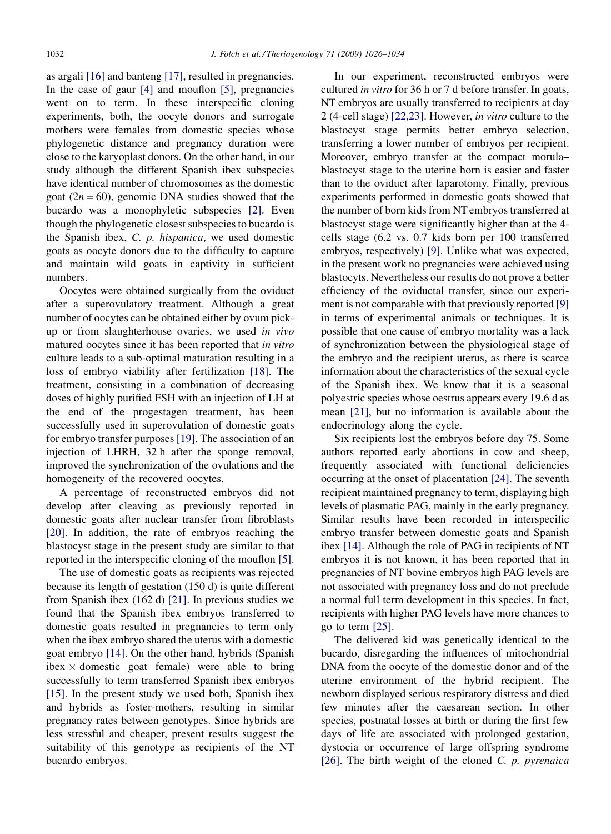as argali [\[16\]](#page-7-0) and banteng [\[17\]](#page-7-0), resulted in pregnancies. In the case of gaur [\[4\]](#page-7-0) and mouflon [\[5\]](#page-7-0), pregnancies went on to term. In these interspecific cloning experiments, both, the oocyte donors and surrogate mothers were females from domestic species whose phylogenetic distance and pregnancy duration were close to the karyoplast donors. On the other hand, in our study although the different Spanish ibex subspecies have identical number of chromosomes as the domestic goat ( $2n = 60$ ), genomic DNA studies showed that the bucardo was a monophyletic subspecies [\[2\]](#page-7-0). Even though the phylogenetic closest subspecies to bucardo is the Spanish ibex, C. p. hispanica, we used domestic goats as oocyte donors due to the difficulty to capture and maintain wild goats in captivity in sufficient numbers.

Oocytes were obtained surgically from the oviduct after a superovulatory treatment. Although a great number of oocytes can be obtained either by ovum pickup or from slaughterhouse ovaries, we used in vivo matured oocytes since it has been reported that in vitro culture leads to a sub-optimal maturation resulting in a loss of embryo viability after fertilization [\[18\]](#page-7-0). The treatment, consisting in a combination of decreasing doses of highly purified FSH with an injection of LH at the end of the progestagen treatment, has been successfully used in superovulation of domestic goats for embryo transfer purposes [\[19\].](#page-7-0) The association of an injection of LHRH, 32 h after the sponge removal, improved the synchronization of the ovulations and the homogeneity of the recovered oocytes.

A percentage of reconstructed embryos did not develop after cleaving as previously reported in domestic goats after nuclear transfer from fibroblasts [\[20\].](#page-8-0) In addition, the rate of embryos reaching the blastocyst stage in the present study are similar to that reported in the interspecific cloning of the mouflon [\[5\].](#page-7-0)

The use of domestic goats as recipients was rejected because its length of gestation (150 d) is quite different from Spanish ibex (162 d) [\[21\].](#page-8-0) In previous studies we found that the Spanish ibex embryos transferred to domestic goats resulted in pregnancies to term only when the ibex embryo shared the uterus with a domestic goat embryo [\[14\]](#page-7-0). On the other hand, hybrids (Spanish ibex  $\times$  domestic goat female) were able to bring successfully to term transferred Spanish ibex embryos [\[15\].](#page-7-0) In the present study we used both, Spanish ibex and hybrids as foster-mothers, resulting in similar pregnancy rates between genotypes. Since hybrids are less stressful and cheaper, present results suggest the suitability of this genotype as recipients of the NT bucardo embryos.

In our experiment, reconstructed embryos were cultured in vitro for 36 h or 7 d before transfer. In goats, NT embryos are usually transferred to recipients at day 2 (4-cell stage) [\[22,23\].](#page-8-0) However, in vitro culture to the blastocyst stage permits better embryo selection, transferring a lower number of embryos per recipient. Moreover, embryo transfer at the compact morula– blastocyst stage to the uterine horn is easier and faster than to the oviduct after laparotomy. Finally, previous experiments performed in domestic goats showed that the number of born kids from NT embryos transferred at blastocyst stage were significantly higher than at the 4 cells stage (6.2 vs. 0.7 kids born per 100 transferred embryos, respectively) [\[9\]](#page-7-0). Unlike what was expected, in the present work no pregnancies were achieved using blastocyts. Nevertheless our results do not prove a better efficiency of the oviductal transfer, since our experiment is not comparable with that previously reported [\[9\]](#page-7-0) in terms of experimental animals or techniques. It is possible that one cause of embryo mortality was a lack of synchronization between the physiological stage of the embryo and the recipient uterus, as there is scarce information about the characteristics of the sexual cycle of the Spanish ibex. We know that it is a seasonal polyestric species whose oestrus appears every 19.6 d as mean [\[21\],](#page-8-0) but no information is available about the endocrinology along the cycle.

Six recipients lost the embryos before day 75. Some authors reported early abortions in cow and sheep, frequently associated with functional deficiencies occurring at the onset of placentation [\[24\]](#page-8-0). The seventh recipient maintained pregnancy to term, displaying high levels of plasmatic PAG, mainly in the early pregnancy. Similar results have been recorded in interspecific embryo transfer between domestic goats and Spanish ibex [\[14\]](#page-7-0). Although the role of PAG in recipients of NT embryos it is not known, it has been reported that in pregnancies of NT bovine embryos high PAG levels are not associated with pregnancy loss and do not preclude a normal full term development in this species. In fact, recipients with higher PAG levels have more chances to go to term [\[25\].](#page-8-0)

The delivered kid was genetically identical to the bucardo, disregarding the influences of mitochondrial DNA from the oocyte of the domestic donor and of the uterine environment of the hybrid recipient. The newborn displayed serious respiratory distress and died few minutes after the caesarean section. In other species, postnatal losses at birth or during the first few days of life are associated with prolonged gestation, dystocia or occurrence of large offspring syndrome [\[26\].](#page-8-0) The birth weight of the cloned  $C$ .  $p$ . pyrenaica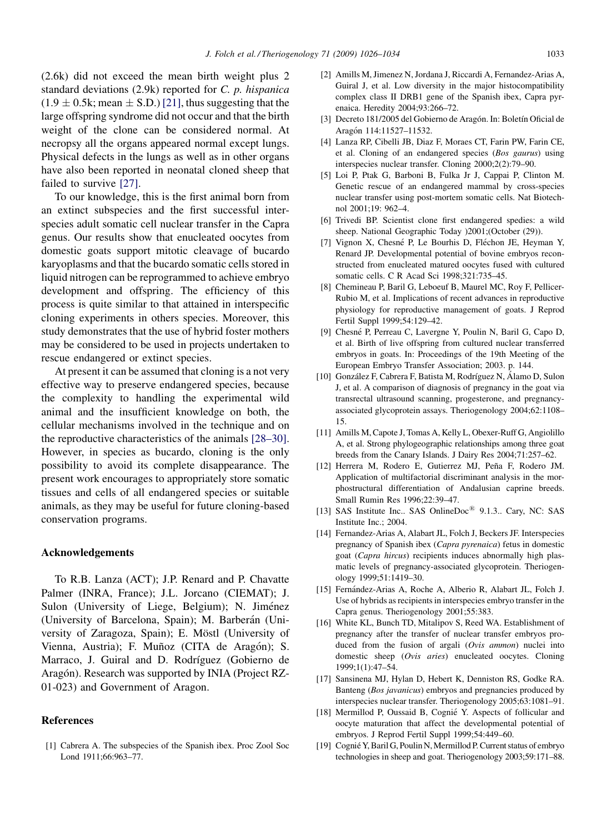<span id="page-7-0"></span>(2.6k) did not exceed the mean birth weight plus 2 standard deviations (2.9k) reported for C. p. hispanica  $(1.9 \pm 0.5k; \text{mean} \pm \text{S.D.})$  [\[21\]](#page-8-0), thus suggesting that the large offspring syndrome did not occur and that the birth weight of the clone can be considered normal. At necropsy all the organs appeared normal except lungs. Physical defects in the lungs as well as in other organs have also been reported in neonatal cloned sheep that failed to survive [\[27\]](#page-8-0).

To our knowledge, this is the first animal born from an extinct subspecies and the first successful interspecies adult somatic cell nuclear transfer in the Capra genus. Our results show that enucleated oocytes from domestic goats support mitotic cleavage of bucardo karyoplasms and that the bucardo somatic cells stored in liquid nitrogen can be reprogrammed to achieve embryo development and offspring. The efficiency of this process is quite similar to that attained in interspecific cloning experiments in others species. Moreover, this study demonstrates that the use of hybrid foster mothers may be considered to be used in projects undertaken to rescue endangered or extinct species.

At present it can be assumed that cloning is a not very effective way to preserve endangered species, because the complexity to handling the experimental wild animal and the insufficient knowledge on both, the cellular mechanisms involved in the technique and on the reproductive characteristics of the animals [\[28–30\].](#page-8-0) However, in species as bucardo, cloning is the only possibility to avoid its complete disappearance. The present work encourages to appropriately store somatic tissues and cells of all endangered species or suitable animals, as they may be useful for future cloning-based conservation programs.

#### Acknowledgements

To R.B. Lanza (ACT); J.P. Renard and P. Chavatte Palmer (INRA, France); J.L. Jorcano (CIEMAT); J. Sulon (University of Liege, Belgium); N. Jiménez (University of Barcelona, Spain); M. Barberán (University of Zaragoza, Spain); E. Möstl (University of Vienna, Austria); F. Muñoz (CITA de Aragón); S. Marraco, J. Guiral and D. Rodríguez (Gobierno de Aragón). Research was supported by INIA (Project RZ-01-023) and Government of Aragon.

## References

[1] Cabrera A. The subspecies of the Spanish ibex. Proc Zool Soc Lond 1911;66:963–77.

- [2] Amills M, Jimenez N, Jordana J, Riccardi A, Fernandez-Arias A, Guiral J, et al. Low diversity in the major histocompatibility complex class II DRB1 gene of the Spanish ibex, Capra pyrenaica. Heredity 2004;93:266–72.
- [3] Decreto 181/2005 del Gobierno de Aragón. In: Boletín Oficial de Aragón 114:11527-11532.
- [4] Lanza RP, Cibelli JB, Diaz F, Moraes CT, Farin PW, Farin CE, et al. Cloning of an endangered species (Bos gaurus) using interspecies nuclear transfer. Cloning 2000;2(2):79–90.
- [5] Loi P, Ptak G, Barboni B, Fulka Jr J, Cappai P, Clinton M. Genetic rescue of an endangered mammal by cross-species nuclear transfer using post-mortem somatic cells. Nat Biotechnol 2001;19: 962–4.
- [6] Trivedi BP. Scientist clone first endangered spedies: a wild sheep. National Geographic Today )2001;(October (29)).
- [7] Vignon X, Chesné P, Le Bourhis D, Fléchon JE, Heyman Y, Renard JP. Developmental potential of bovine embryos reconstructed from enucleated matured oocytes fused with cultured somatic cells. C R Acad Sci 1998;321:735–45.
- [8] Chemineau P, Baril G, Leboeuf B, Maurel MC, Roy F, Pellicer-Rubio M, et al. Implications of recent advances in reproductive physiology for reproductive management of goats. J Reprod Fertil Suppl 1999;54:129–42.
- [9] Chesné P, Perreau C, Lavergne Y, Poulin N, Baril G, Capo D, et al. Birth of live offspring from cultured nuclear transferred embryos in goats. In: Proceedings of the 19th Meeting of the European Embryo Transfer Association; 2003. p. 144.
- [10] González F, Cabrera F, Batista M, Rodríguez N, Álamo D, Sulon J, et al. A comparison of diagnosis of pregnancy in the goat via transrectal ultrasound scanning, progesterone, and pregnancyassociated glycoprotein assays. Theriogenology 2004;62:1108– 15.
- [11] Amills M, Capote J, Tomas A, Kelly L, Obexer-Ruff G, Angiolillo A, et al. Strong phylogeographic relationships among three goat breeds from the Canary Islands. J Dairy Res 2004;71:257–62.
- [12] Herrera M, Rodero E, Gutierrez MJ, Peña F, Rodero JM. Application of multifactorial discriminant analysis in the morphostructural differentiation of Andalusian caprine breeds. Small Rumin Res 1996;22:39–47.
- [13] SAS Institute Inc.. SAS OnlineDoc $^{(8)}$  9.1.3.. Cary, NC: SAS Institute Inc.; 2004.
- [14] Fernandez-Arias A, Alabart JL, Folch J, Beckers JF. Interspecies pregnancy of Spanish ibex (Capra pyrenaica) fetus in domestic goat (Capra hircus) recipients induces abnormally high plasmatic levels of pregnancy-associated glycoprotein. Theriogenology 1999;51:1419–30.
- [15] Fernández-Arias A, Roche A, Alberio R, Alabart JL, Folch J. Use of hybrids as recipients in interspecies embryo transfer in the Capra genus. Theriogenology 2001;55:383.
- [16] White KL, Bunch TD, Mitalipov S, Reed WA. Establishment of pregnancy after the transfer of nuclear transfer embryos produced from the fusion of argali (Ovis ammon) nuclei into domestic sheep (Ovis aries) enucleated oocytes. Cloning 1999;1(1):47–54.
- [17] Sansinena MJ, Hylan D, Hebert K, Denniston RS, Godke RA. Banteng (Bos javanicus) embryos and pregnancies produced by interspecies nuclear transfer. Theriogenology 2005;63:1081–91.
- [18] Mermillod P, Oussaid B, Cognié Y. Aspects of follicular and oocyte maturation that affect the developmental potential of embryos. J Reprod Fertil Suppl 1999;54:449–60.
- [19] Cognié Y, Baril G, Poulin N, Mermillod P. Current status of embryo technologies in sheep and goat. Theriogenology 2003;59:171–88.